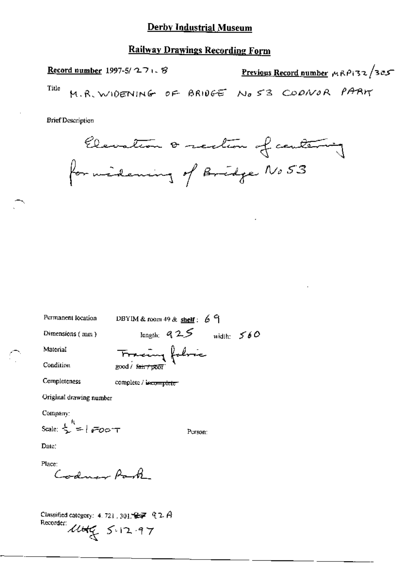### **Railway Drawings Recording Form**

Previous Record number  $\mu$ RP132/305 Record number 1997-5/ $271.8$ Title M.R. WIDENING OF BRIDGE NO 53 CODNOR PARK

**Brief Description** 



Permanent location

DBYIM & room 49 & shelf:  $69$ 

Dimensions (mm)

length;  $925$  width:  $560$ 

Condition

Material

Tracing fabric good / fair / poor

Completeness

complete / incomplete

Original drawing number

Company:

Scale:  $\frac{1}{2}$  =  $\frac{1}{2}$  =  $\frac{1}{2}$ 

Person:

Date:

Place: Codney Park

Classified category: 4, 721, 301,  $\mathcal{G} = \mathcal{A}$ Recorder: Utile 5.12.97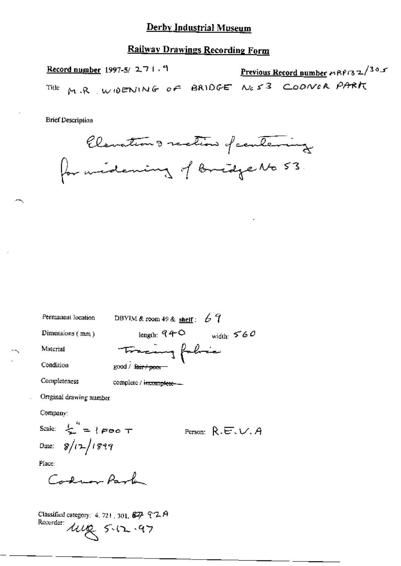### **Railway Drawings Recording Form**

Previous Record number MRP132/305 Record number 1997-5/ $271.9$ M.R. WOENING OF BRIDGE NO53 COONER PARK Title

**Brief Description** 



DBYIM & room 49 & shelf:  $67$ Permanent location length:  $94^\circ$  width:  $560^\circ$ Dimensions (mm) Tracing fabric Material Condition good / fair / poor Completeness complete / incomplete-Original drawing number Company: Scale:  $\sum_{n=1}^{n}$  = {Foo T Person:  $R.E.V.A$ Date:  $8/12/1899$ 

Place:

Cardman Park

Classified category: 4, 721, 301, 327 92 A Recorder lug 5.12.97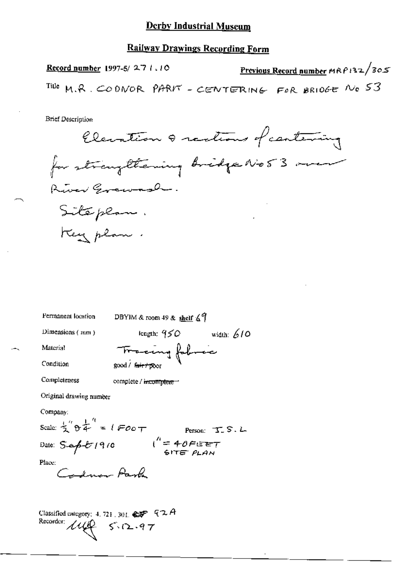### **Railway Drawings Recording Form**

Previous Record number MRP132/305 **Record number 1997-5/27 1.10** Tille M.R. CODNOR PARKT - CENTERING FOR BRIDGE NO 53

**Brief Description** 

Elevation & rections of cantering for strangliening bridge No53 over River Grewash. Siteplan. Key plan.

DBYIM & room 49 & shelf  $\angle$ 9 Permanent location length:  $950$  width: 610 Dimensions (mm) Tracing followic Material Condition good / fairt 17001 Completeness complete / incomplete -Original drawing number Company: Scale:  $\frac{1}{2}$   $\theta \frac{1}{4}$  =  $1$  FOOT Person: T. S. L Date:  $S_{\alpha\beta}U(9/0$   $\qquad \qquad 1'' = 40FET$ Place: Income Park

Classified category: 4, 721, 301,  $\mathcal{L} \mathcal{F}$   $Q \mathcal{A}$ Recorder:  $149 - 5.12.97$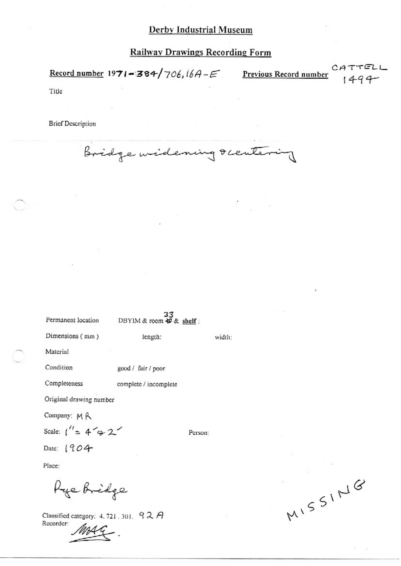# **Railway Drawings Recording Form**

Record number 1971-384/706,  $16A-E$  Previous Record number  $1494-$ 

Title

**Brief Description** 

Bridge widening rentering

| Permanent location       | 33<br>DBYIM & room 句 & shelf: |         |        |
|--------------------------|-------------------------------|---------|--------|
| Dimensions (mm)          | length:                       |         | width: |
| Material                 |                               |         |        |
| Condition                | good / fair / poor            |         |        |
| Completeness             | complete / incomplete         |         |        |
| Original drawing number  |                               |         |        |
| Company: MR              |                               |         |        |
| Scale: $1'' = 4 \div 2'$ |                               | Person: |        |
| Date: $1904$             |                               |         |        |
| Place:                   |                               |         |        |
| Rye Bridge               |                               |         |        |

Classified category: 4.721.301. 92 A Recorder:

MISSING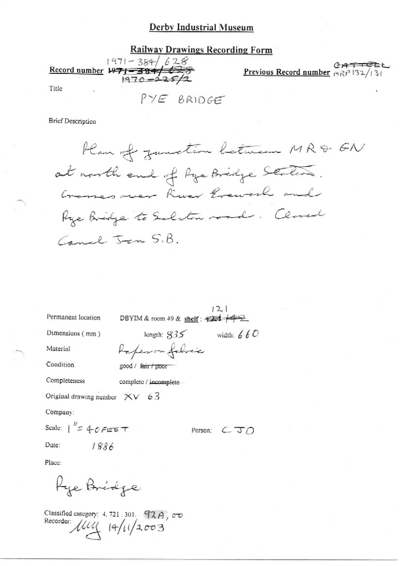**Railway Drawings Recording Form**  $1971 - 384 / 628$  $CATTE$ Record number 1971 - 384/628 Previous Record number  $\mu$ <sub>R</sub> $\rho$  132/131 Title  $PYE$  BRIDGE

**Brief Description** 

Han of zunction between MR& GN at north end of Pye Bridge States. Crosses over River Grework and Age Bridge to Selston road. Closed Canal Jan S.B.

|                                 |                                                                       | 121            |
|---------------------------------|-----------------------------------------------------------------------|----------------|
| Permanent location              | DBYIM & room 49 & shelf: $\overrightarrow{424}$ $\overrightarrow{42}$ |                |
| Dimensions (mm)                 | length: $835$                                                         | width: $660$   |
| Material                        | Paperon folice                                                        |                |
| Condition                       | good / fair / poor                                                    |                |
| Completeness                    | complete / incomplete                                                 |                |
| Original drawing number $XV$ 63 |                                                                       |                |
| Company:                        |                                                                       |                |
| Scale: $1'' = 40$ FEET          |                                                                       | Person:<br>CTD |
| Date:<br>1886                   |                                                                       |                |
| Place:                          |                                                                       |                |
| Kye Bridge                      |                                                                       |                |

Classified category: 4.721.301. 92A,  $\sigma$ Recorder  $\mu$  14/11/2003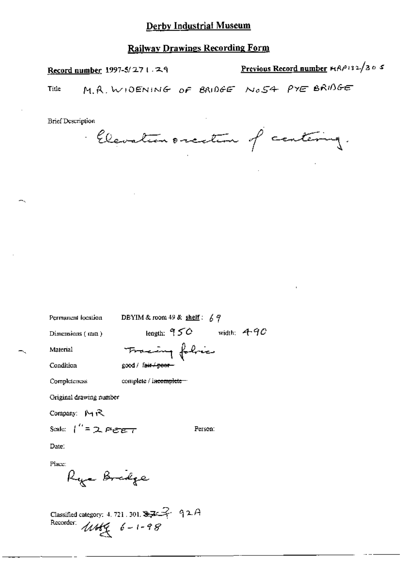# **Railway Drawings Recording Form**

Record number 1997-5/271.29

Previous Record number HRP132/305

M.R. WIDENING OF BRIDGE NOSA PYE BRIDGE Title

**Brief Description** 

Elevation oriention of centering.

| Permancul Iocalion -    | DBYIM & FOOM 49 & $\frac{\text{snen}}{\text{snen}}$ : $\frac{1}{6}$ $\frac{1}{7}$ |  |
|-------------------------|-----------------------------------------------------------------------------------|--|
| Dimensions (mm)         | length: $950$ width: $490$                                                        |  |
| Material                | Fracing folice                                                                    |  |
| Condition               | good / fair / peer-                                                               |  |
| Completeness            | complete / in <del>complete =</del>                                               |  |
| Original drawing number |                                                                                   |  |
| Company: $M R$          |                                                                                   |  |
| Scale: $1'' = 2$ Feet   | Person:                                                                           |  |
| Date:                   |                                                                                   |  |
| Place:                  |                                                                                   |  |

Classified category: 4, 721, 301,  $32^2$  92A<br>Recorder:  $\text{W6}$   $6 - 1 - 98$ 

Rya Bridge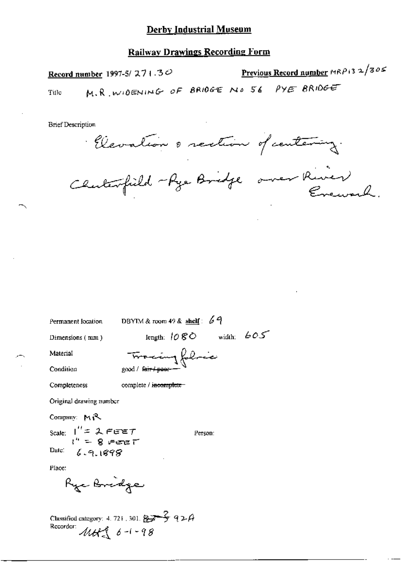### **Railway Drawings Recording Form**

Previous Record number MRP 13 2/305 Record number 1997-5/ $271.3\degree$ M.R. WIDENING OF BRIDGE NO 56 PYE BRIDGE Tifle

**Brief Description** 

Elevation o rection of centering.

Chuterfield - Rya Bridge over River

Permanent location

DBYIM & room 49 & shelf:  $69$ 

Dimensions (mm)

length:  $1080$  width:  $605$ 

Person:

Material

Tracing folice good / fair / poor-

Condition

Completeness

complete / incomplete

Original drawing number

Company: MR Scale:  $1'' = 2$  FEET<br> $1'' = 8$  FEET

Date:  $6.9.1898$ 

Place:

Ryc Bridge

Classified category: 4.721, 301.  $873$  92A<br>Recorder:  $M4$  6-1-98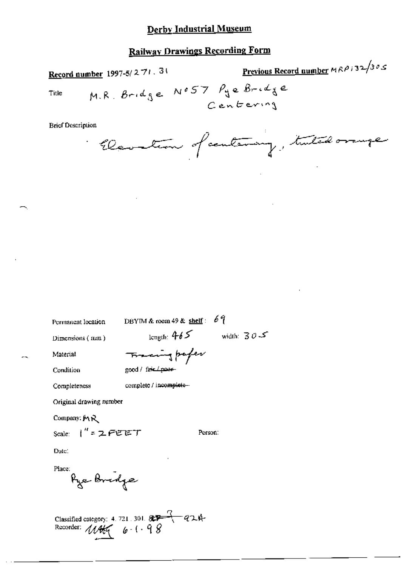# **Railway Drawings Recording Form**

Previous Record number  $MRP$  ;  $32/305$ Record number 1997-5/271.31 M.R. Bridge NO57 Pge Bridge Title Centering

**Brief Description** 

Elevation of century, tutal orange

Permanent location

DBYIM & room 49 & shelf:  $69$ 

Dimensions (mm)

length:  $465$  width:  $305$ 

Person:

Material Condition Tracing paper good / fasc power

Completeness

complete / incomplete-

Original drawing number

Company: MR

Date:

Place: Pye Bridge

Scale:  $1'' = 2$  PEET

Classified category: 4.721.301.  $\frac{27}{27}$  a 2.4<br>Recorder:  $\frac{1}{4}$